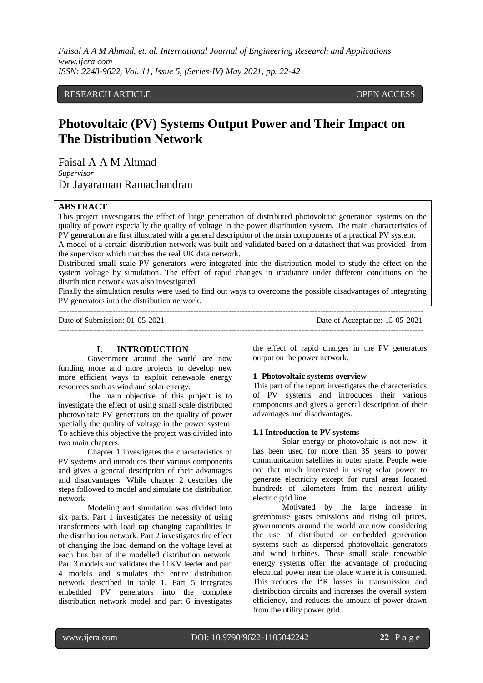# RESEARCH ARTICLE **CONTRACT OPEN ACCESS**

# **Photovoltaic (PV) Systems Output Power and Their Impact on The Distribution Network**

Faisal A A M Ahmad *Supervisor* Dr Jayaraman Ramachandran

#### **ABSTRACT**

This project investigates the effect of large penetration of distributed photovoltaic generation systems on the quality of power especially the quality of voltage in the power distribution system. The main characteristics of PV generation are first illustrated with a general description of the main components of a practical PV system. A model of a certain distribution network was built and validated based on a datasheet that was provided from the supervisor which matches the real UK data network.

Distributed small scale PV generators were integrated into the distribution model to study the effect on the system voltage by simulation. The effect of rapid changes in irradiance under different conditions on the distribution network was also investigated.

Finally the simulation results were used to find out ways to overcome the possible disadvantages of integrating PV generators into the distribution network.

---------------------------------------------------------------------------------------------------------------------------------------

Date of Submission: 01-05-2021 Date of Acceptance: 15-05-2021

**I. INTRODUCTION**

Government around the world are now funding more and more projects to develop new more efficient ways to exploit renewable energy resources such as wind and solar energy.

The main objective of this project is to investigate the effect of using small scale distributed photovoltaic PV generators on the quality of power specially the quality of voltage in the power system. To achieve this objective the project was divided into two main chapters.

Chapter 1 investigates the characteristics of PV systems and introduces their various components and gives a general description of their advantages and disadvantages. While chapter 2 describes the steps followed to model and simulate the distribution network.

Modeling and simulation was divided into six parts. Part 1 investigates the necessity of using transformers with load tap changing capabilities in the distribution network. Part 2 investigates the effect of changing the load demand on the voltage level at each bus bar of the modelled distribution network. Part 3 models and validates the 11KV feeder and part 4 models and simulates the entire distribution network described in table 1. Part 5 integrates embedded PV generators into the complete distribution network model and part 6 investigates

the effect of rapid changes in the PV generators output on the power network.

## **1- Photovoltaic systems overview**

This part of the report investigates the characteristics of PV systems and introduces their various components and gives a general description of their advantages and disadvantages.

## **1.1 Introduction to PV systems**

Solar energy or photovoltaic is not new; it has been used for more than 35 years to power communication satellites in outer space. People were not that much interested in using solar power to generate electricity except for rural areas located hundreds of kilometers from the nearest utility electric grid line.

Motivated by the large increase in greenhouse gases emissions and rising oil prices, governments around the world are now considering the use of distributed or embedded generation systems such as dispersed photovoltaic generators and wind turbines. These small scale renewable energy systems offer the advantage of producing electrical power near the place where it is consumed. This reduces the  $I^{2}R$  losses in transmission and distribution circuits and increases the overall system efficiency, and reduces the amount of power drawn from the utility power grid.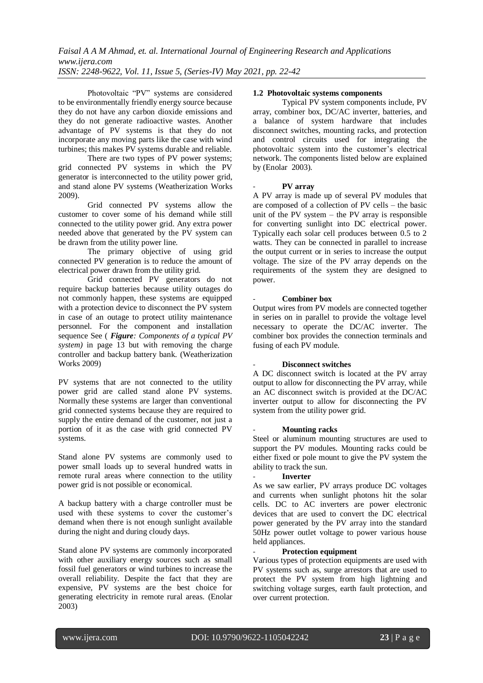Photovoltaic "PV" systems are considered to be environmentally friendly energy source because they do not have any carbon dioxide emissions and they do not generate radioactive wastes. Another advantage of PV systems is that they do not incorporate any moving parts like the case with wind turbines; this makes PV systems durable and reliable.

There are two types of PV power systems; grid connected PV systems in which the PV generator is interconnected to the utility power grid, and stand alone PV systems (Weatherization Works 2009).

Grid connected PV systems allow the customer to cover some of his demand while still connected to the utility power grid. Any extra power needed above that generated by the PV system can be drawn from the utility power line.

The primary objective of using grid connected PV generation is to reduce the amount of electrical power drawn from the utility grid.

Grid connected PV generators do not require backup batteries because utility outages do not commonly happen, these systems are equipped with a protection device to disconnect the PV system in case of an outage to protect utility maintenance personnel. For the component and installation sequence See ( *Figure: Components of a typical PV system)* in page 13 but with removing the charge controller and backup battery bank. (Weatherization Works 2009)

PV systems that are not connected to the utility power grid are called stand alone PV systems. Normally these systems are larger than conventional grid connected systems because they are required to supply the entire demand of the customer, not just a portion of it as the case with grid connected PV systems.

Stand alone PV systems are commonly used to power small loads up to several hundred watts in remote rural areas where connection to the utility power grid is not possible or economical.

A backup battery with a charge controller must be used with these systems to cover the customer's demand when there is not enough sunlight available during the night and during cloudy days.

Stand alone PV systems are commonly incorporated with other auxiliary energy sources such as small fossil fuel generators or wind turbines to increase the overall reliability. Despite the fact that they are expensive, PV systems are the best choice for generating electricity in remote rural areas. (Enolar 2003)

# **1.2 Photovoltaic systems components**

Typical PV system components include, PV array, combiner box, DC/AC inverter, batteries, and a balance of system hardware that includes disconnect switches, mounting racks, and protection and control circuits used for integrating the photovoltaic system into the customer's electrical network. The components listed below are explained by (Enolar 2003).

## - **PV array**

A PV array is made up of several PV modules that are composed of a collection of PV cells – the basic unit of the PV system  $-$  the PV array is responsible for converting sunlight into DC electrical power. Typically each solar cell produces between 0.5 to 2 watts. They can be connected in parallel to increase the output current or in series to increase the output voltage. The size of the PV array depends on the requirements of the system they are designed to power.

## - **Combiner box**

Output wires from PV models are connected together in series on in parallel to provide the voltage level necessary to operate the DC/AC inverter. The combiner box provides the connection terminals and fusing of each PV module.

# - **Disconnect switches**

A DC disconnect switch is located at the PV array output to allow for disconnecting the PV array, while an AC disconnect switch is provided at the DC/AC inverter output to allow for disconnecting the PV system from the utility power grid.

# - **Mounting racks**

Steel or aluminum mounting structures are used to support the PV modules. Mounting racks could be either fixed or pole mount to give the PV system the ability to track the sun.

# - **Inverter**

As we saw earlier, PV arrays produce DC voltages and currents when sunlight photons hit the solar cells. DC to AC inverters are power electronic devices that are used to convert the DC electrical power generated by the PV array into the standard 50Hz power outlet voltage to power various house held appliances.

## - **Protection equipment**

Various types of protection equipments are used with PV systems such as, surge arrestors that are used to protect the PV system from high lightning and switching voltage surges, earth fault protection, and over current protection.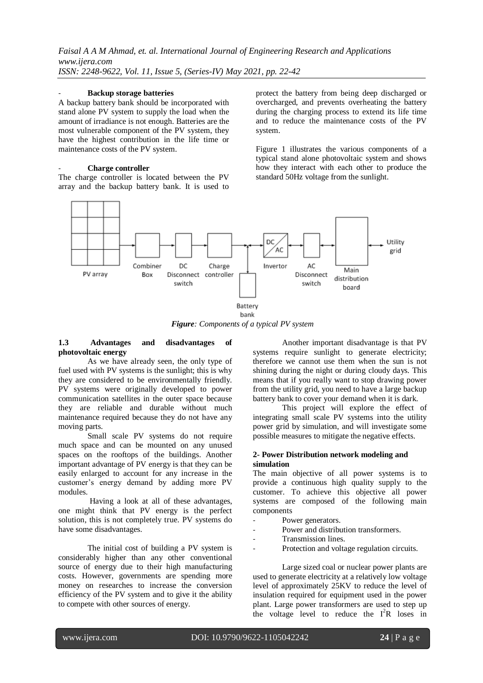## - **Backup storage batteries**

A backup battery bank should be incorporated with stand alone PV system to supply the load when the amount of irradiance is not enough. Batteries are the most vulnerable component of the PV system, they have the highest contribution in the life time or maintenance costs of the PV system.

#### - **Charge controller**

The charge controller is located between the PV array and the backup battery bank. It is used to protect the battery from being deep discharged or overcharged, and prevents overheating the battery during the charging process to extend its life time and to reduce the maintenance costs of the PV system.

Figure 1 illustrates the various components of a typical stand alone photovoltaic system and shows how they interact with each other to produce the standard 50Hz voltage from the sunlight.



*Figure: Components of a typical PV system*

## **1.3 Advantages and disadvantages of photovoltaic energy**

As we have already seen, the only type of fuel used with PV systems is the sunlight; this is why they are considered to be environmentally friendly. PV systems were originally developed to power communication satellites in the outer space because they are reliable and durable without much maintenance required because they do not have any moving parts.

Small scale PV systems do not require much space and can be mounted on any unused spaces on the rooftops of the buildings. Another important advantage of PV energy is that they can be easily enlarged to account for any increase in the customer's energy demand by adding more PV modules.

Having a look at all of these advantages, one might think that PV energy is the perfect solution, this is not completely true. PV systems do have some disadvantages.

The initial cost of building a PV system is considerably higher than any other conventional source of energy due to their high manufacturing costs. However, governments are spending more money on researches to increase the conversion efficiency of the PV system and to give it the ability to compete with other sources of energy.

Another important disadvantage is that PV systems require sunlight to generate electricity; therefore we cannot use them when the sun is not shining during the night or during cloudy days. This means that if you really want to stop drawing power from the utility grid, you need to have a large backup battery bank to cover your demand when it is dark.

This project will explore the effect of integrating small scale PV systems into the utility power grid by simulation, and will investigate some possible measures to mitigate the negative effects.

## **2- Power Distribution network modeling and simulation**

The main objective of all power systems is to provide a continuous high quality supply to the customer. To achieve this objective all power systems are composed of the following main components

- Power generators.
- Power and distribution transformers.
- Transmission lines.
- Protection and voltage regulation circuits.

Large sized coal or nuclear power plants are used to generate electricity at a relatively low voltage level of approximately 25KV to reduce the level of insulation required for equipment used in the power plant. Large power transformers are used to step up the voltage level to reduce the  $I^{2}R$  loses in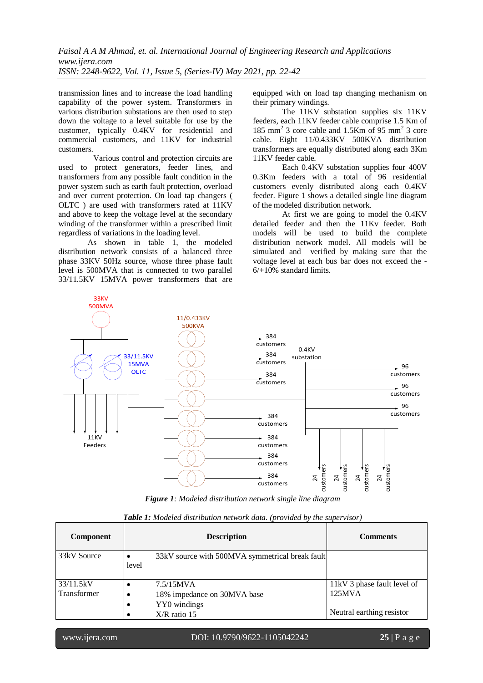transmission lines and to increase the load handling capability of the power system. Transformers in various distribution substations are then used to step down the voltage to a level suitable for use by the customer, typically 0.4KV for residential and commercial customers, and 11KV for industrial customers.

 Various control and protection circuits are used to protect generators, feeder lines, and transformers from any possible fault condition in the power system such as earth fault protection, overload and over current protection. On load tap changers ( OLTC ) are used with transformers rated at 11KV and above to keep the voltage level at the secondary winding of the transformer within a prescribed limit regardless of variations in the loading level.

As shown in table 1, the modeled distribution network consists of a balanced three phase 33KV 50Hz source, whose three phase fault level is 500MVA that is connected to two parallel 33/11.5KV 15MVA power transformers that are equipped with on load tap changing mechanism on their primary windings.

The 11KV substation supplies six 11KV feeders, each 11KV feeder cable comprise 1.5 Km of 185 mm<sup>2</sup> 3 core cable and 1.5Km of 95 mm<sup>2</sup> 3 core cable. Eight 11/0.433KV 500KVA distribution transformers are equally distributed along each 3Km 11KV feeder cable.

Each 0.4KV substation supplies four 400V 0.3Km feeders with a total of 96 residential customers evenly distributed along each 0.4KV feeder. Figure 1 shows a detailed single line diagram of the modeled distribution network.

At first we are going to model the 0.4KV detailed feeder and then the 11Kv feeder. Both models will be used to build the complete distribution network model. All models will be simulated and verified by making sure that the voltage level at each bus bar does not exceed the - 6/+10% standard limits.



*Figure 1: Modeled distribution network single line diagram* 

| <b>Component</b> | <b>Description</b>                                   | <b>Comments</b>             |  |  |
|------------------|------------------------------------------------------|-----------------------------|--|--|
| 33kV Source      | 33kV source with 500MVA symmetrical break fault<br>٠ |                             |  |  |
|                  | level                                                |                             |  |  |
| 33/11.5kV        | 7.5/15MVA                                            | 11kV 3 phase fault level of |  |  |
| Transformer      | 18% impedance on 30MVA base<br>e                     | 125MVA                      |  |  |
|                  | YY0 windings                                         |                             |  |  |
|                  | $X/R$ ratio 15                                       | Neutral earthing resistor   |  |  |

*Table 1: Modeled distribution network data. (provided by the supervisor)*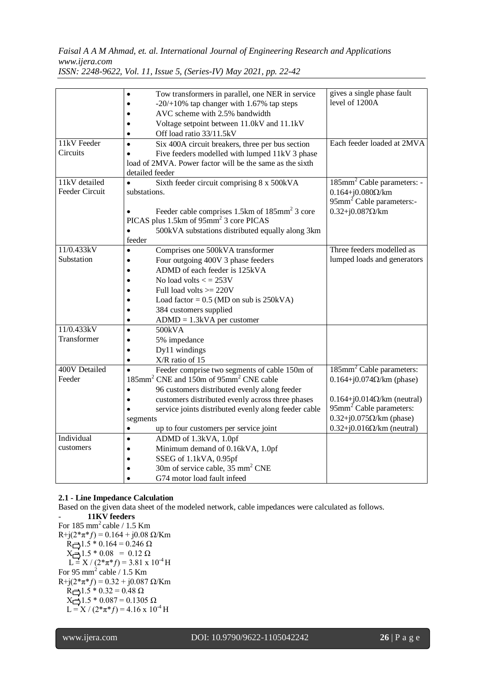*Faisal A A M Ahmad, et. al. International Journal of Engineering Research and Applications www.ijera.com*

|                                        | Tow transformers in parallel, one NER in service<br>$-20/+10\%$ tap changer with 1.67% tap steps<br>AVC scheme with 2.5% bandwidth<br>Voltage setpoint between 11.0kV and 11.1kV                                                                                                                                                                                                      | gives a single phase fault<br>level of 1200A                                                                                                                                                                                         |
|----------------------------------------|---------------------------------------------------------------------------------------------------------------------------------------------------------------------------------------------------------------------------------------------------------------------------------------------------------------------------------------------------------------------------------------|--------------------------------------------------------------------------------------------------------------------------------------------------------------------------------------------------------------------------------------|
|                                        | Off load ratio 33/11.5kV<br>$\bullet$                                                                                                                                                                                                                                                                                                                                                 |                                                                                                                                                                                                                                      |
| 11kV Feeder<br>Circuits                | Six 400A circuit breakers, three per bus section<br>$\bullet$<br>Five feeders modelled with lumped 11kV 3 phase<br>$\bullet$<br>load of 2MVA. Power factor will be the same as the sixth<br>detailed feeder                                                                                                                                                                           | Each feeder loaded at 2MVA                                                                                                                                                                                                           |
| 11kV detailed<br>Feeder Circuit        | Sixth feeder circuit comprising 8 x 500kVA<br>substations.<br>Feeder cable comprises 1.5km of 185mm <sup>2</sup> 3 core<br>PICAS plus 1.5km of 95mm <sup>2</sup> 3 core PICAS<br>500kVA substations distributed equally along 3km<br>feeder                                                                                                                                           | 185mm <sup>2</sup> Cable parameters: -<br>$0.164 + j0.080 \Omega/km$<br>95mm <sup>2</sup> Cable parameters:-<br>$0.32 + j0.087 \Omega/km$                                                                                            |
| 11/0.433kV<br>Substation<br>11/0.433kV | Comprises one 500kVA transformer<br>$\bullet$<br>Four outgoing 400V 3 phase feeders<br>$\bullet$<br>ADMD of each feeder is 125kVA<br>$\bullet$<br>No load volts $\lt$ = 253V<br>Full load volts $>= 220V$<br>Load factor = $0.5$ (MD on sub is 250kVA)<br>384 customers supplied<br>$ADMD = 1.3kVA$ per customer                                                                      | Three feeders modelled as<br>lumped loads and generators                                                                                                                                                                             |
| Transformer                            | 500kVA<br>$\bullet$<br>5% impedance<br>Dy11 windings<br>$\bullet$<br>X/R ratio of 15<br>$\bullet$                                                                                                                                                                                                                                                                                     |                                                                                                                                                                                                                                      |
| 400V Detailed<br>Feeder                | Feeder comprise two segments of cable 150m of<br>$\bullet$<br>185mm <sup>2</sup> CNE and 150m of 95mm <sup>2</sup> CNE cable<br>96 customers distributed evenly along feeder<br>$\bullet$<br>customers distributed evenly across three phases<br>$\bullet$<br>service joints distributed evenly along feeder cable<br>segments<br>up to four customers per service joint<br>$\bullet$ | 185mm <sup>2</sup> Cable parameters:<br>$0.164 + j0.074\Omega/\text{km}$ (phase)<br>$0.164 + j0.014\Omega/km$ (neutral)<br>95mm <sup>2</sup> Cable parameters:<br>$0.32+j0.075\Omega/km$ (phase)<br>$0.32+j0.016\Omega/km$ (neutral) |
| Individual<br>customers                | ADMD of 1.3kVA, 1.0pf<br>$\bullet$<br>Minimum demand of 0.16kVA, 1.0pf<br>$\bullet$<br>SSEG of 1.1kVA, 0.95pf<br>$\bullet$<br>30m of service cable, 35 mm <sup>2</sup> CNE<br>G74 motor load fault infeed                                                                                                                                                                             |                                                                                                                                                                                                                                      |

*ISSN: 2248-9622, Vol. 11, Issue 5, (Series-IV) May 2021, pp. 22-42*

# **2.1 - Line Impedance Calculation**

Based on the given data sheet of the modeled network, cable impedances were calculated as follows.

- **11KV feeders** For  $185 \text{ mm}^2$  cable /  $1.5 \text{ Km}$ R+j(2\*π\**f*) = 0.164 + j0.08 Ω/Km  $R = 1.5 * 0.164 = 0.246$  Ω  $X \rightarrow 1.5 * 0.08 = 0.12 \Omega$  $L = X / (2 \cdot \pi \cdot f) = 3.81 \times 10^{-4}$  H For 95 mm<sup>2</sup> cable  $/ 1.5$  Km  $R+j(2*\pi*f) = 0.32 + j0.087$  Ω/Km  $R = 1.5 * 0.32 = 0.48$  Ω  $X \rightarrow 1.5 * 0.087 = 0.1305$  Ω  $L = X / (2 \cdot \pi \cdot f) = 4.16 \times 10^{-4}$  H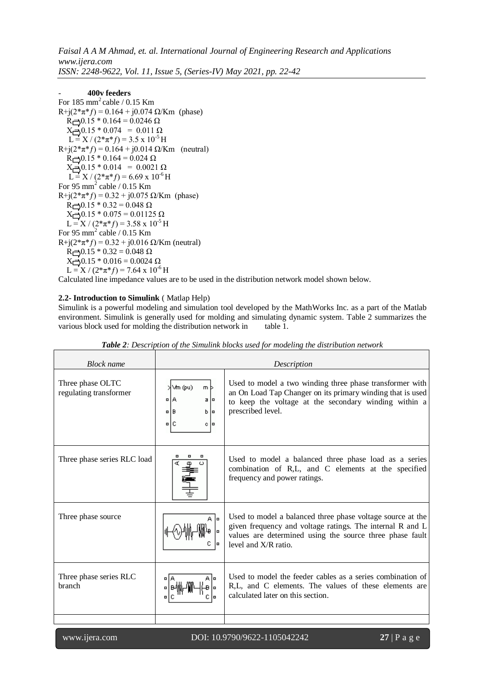# - **400v feeders**

```
For 185 \text{ mm}^2 cable / 0.15 Km
R+j(2*\pi*f) = 0.164 + j0.074 Ω/Km (phase)
  R = 0.15 * 0.164 = 0.0246 \OmegaX = 0.15 * 0.074 = 0.011 \OmegaL = X / (2 \cdot \pi \cdot f) = 3.5 \times 10^{-5} H
R+j(2*π*ƒ) = 0.164 + j0.014 Ω/Km (neutral)
   R = 0.15 * 0.164 = 0.024 \OmegaX = 0.15 * 0.014 = 0.0021 \OmegaL = X / (2 \cdot \pi \cdot f) = 6.69 \times 10^{-6} H
For 95 mm<sup>2</sup> cable / 0.15 Km
R+j(2*π*f) = 0.32 + j0.075 Ω/Km (phase)
   R = 0.15 * 0.32 = 0.048 \OmegaX = 0.15 * 0.075 = 0.01125 ΩL = X / (2 \cdot \pi \cdot f) = 3.58 \times 10^{-5} H
For 95 \text{ mm}^2 cable / 0.15 Km
R+j(2*π*f) = 0.32 + j0.016 Ω/Km (neutral)
  R \rightarrow 0.15 * 0.32 = 0.048 \OmegaX_0 = 0.15 * 0.016 = 0.0024 Ω
  L = X / (2 \cdot \pi \cdot f) = 7.64 \times 10^{-6} H
```
Calculated line impedance values are to be used in the distribution network model shown below.

# **2.2- Introduction to Simulink** ( Matlap Help)

Simulink is a powerful modeling and simulation tool developed by the MathWorks Inc. as a part of the Matlab environment. Simulink is generally used for molding and simulating dynamic system. Table 2 summarizes the various block used for molding the distribution network in table 1.

| <b>Block</b> name                          |                                                                        | Description                                                                                                                                                                                                   |  |  |
|--------------------------------------------|------------------------------------------------------------------------|---------------------------------------------------------------------------------------------------------------------------------------------------------------------------------------------------------------|--|--|
| Three phase OLTC<br>regulating transformer | Vm (pu)<br>m b<br>¤IA<br>а<br>ь<br>O<br>lo<br>c.<br>$\Box$<br>IС<br>I۵ | Used to model a two winding three phase transformer with<br>an On Load Tap Changer on its primary winding that is used<br>to keep the voltage at the secondary winding within a<br>prescribed level.          |  |  |
| Three phase series RLC load                |                                                                        | Used to model a balanced three phase load as a series<br>combination of R,L, and C elements at the specified<br>frequency and power ratings.                                                                  |  |  |
| Three phase source                         | A lo                                                                   | Used to model a balanced three phase voltage source at the<br>given frequency and voltage ratings. The internal R and L<br>values are determined using the source three phase fault<br>level and $X/R$ ratio. |  |  |
| Three phase series RLC<br><b>branch</b>    | A lo                                                                   | Used to model the feeder cables as a series combination of<br>R,L, and C elements. The values of these elements are<br>calculated later on this section.                                                      |  |  |
|                                            |                                                                        |                                                                                                                                                                                                               |  |  |

*Table 2: Description of the Simulink blocks used for modeling the distribution network*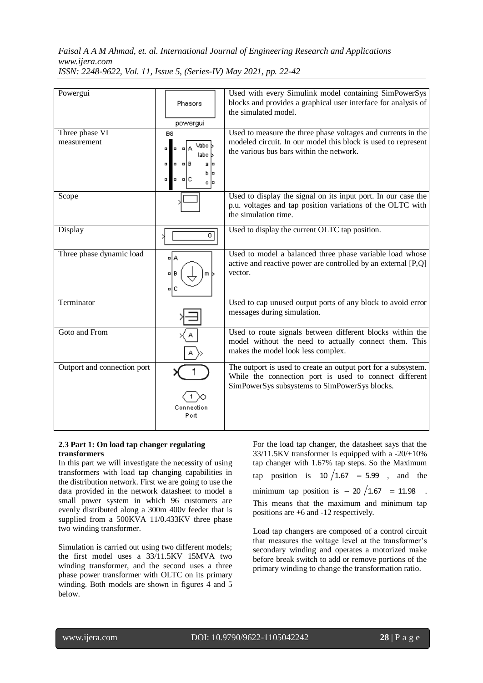| Powergui                      | Phasors                                                                                          | Used with every Simulink model containing SimPowerSys<br>blocks and provides a graphical user interface for analysis of<br>the simulated model.                           |
|-------------------------------|--------------------------------------------------------------------------------------------------|---------------------------------------------------------------------------------------------------------------------------------------------------------------------------|
|                               | powergui                                                                                         |                                                                                                                                                                           |
| Three phase VI<br>measurement | B <sub>8</sub><br>Vabc  <br>۰<br>labo<br>$n \mid B$<br>۰<br>a lo<br>0<br>b l¤<br>۰<br>ыc<br>c ∣¤ | Used to measure the three phase voltages and currents in the<br>modeled circuit. In our model this block is used to represent<br>the various bus bars within the network. |
| Scope                         |                                                                                                  | Used to display the signal on its input port. In our case the<br>p.u. voltages and tap position variations of the OLTC with<br>the simulation time.                       |
| Display                       | 0.                                                                                               | Used to display the current OLTC tap position.                                                                                                                            |
| Three phase dynamic load      | ۵Å<br>미<br>mЬ<br>미디                                                                              | Used to model a balanced three phase variable load whose<br>active and reactive power are controlled by an external [P,Q]<br>vector.                                      |
| Terminator                    |                                                                                                  | Used to cap unused output ports of any block to avoid error<br>messages during simulation.                                                                                |
| Goto and From                 |                                                                                                  | Used to route signals between different blocks within the<br>model without the need to actually connect them. This<br>makes the model look less complex.                  |
| Outport and connection port   | Connection<br>Port                                                                               | The outport is used to create an output port for a subsystem.<br>While the connection port is used to connect different<br>SimPowerSys subsystems to SimPowerSys blocks.  |

# **2.3 Part 1: On load tap changer regulating transformers**

In this part we will investigate the necessity of using transformers with load tap changing capabilities in the distribution network. First we are going to use the data provided in the network datasheet to model a small power system in which 96 customers are evenly distributed along a 300m 400v feeder that is supplied from a 500KVA 11/0.433KV three phase two winding transformer.

Simulation is carried out using two different models; the first model uses a 33/11.5KV 15MVA two winding transformer, and the second uses a three phase power transformer with OLTC on its primary winding. Both models are shown in figures 4 and 5 below.

For the load tap changer, the datasheet says that the 33/11.5KV transformer is equipped with a -20/+10% tap changer with 1.67% tap steps. So the Maximum tap position is  $10 / 1.67 = 5.99$ , and the minimum tap position is  $-20/1.67 = 11.98$ . This means that the maximum and minimum tap positions are +6 and -12 respectively.

Load tap changers are composed of a control circuit that measures the voltage level at the transformer's secondary winding and operates a motorized make before break switch to add or remove portions of the primary winding to change the transformation ratio.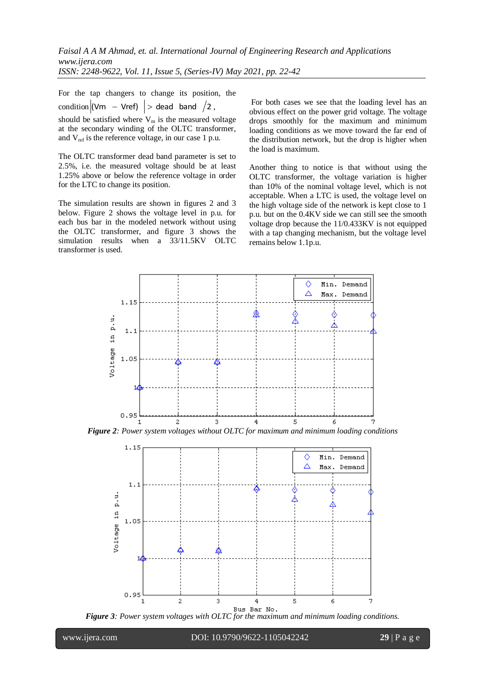For the tap changers to change its position, the condition  $|Vm - Vref| >$  dead band  $/2$ ,

should be satisfied where  $V_m$  is the measured voltage at the secondary winding of the OLTC transformer, and  $V_{ref}$  is the reference voltage, in our case 1 p.u.

The OLTC transformer dead band parameter is set to 2.5%, i.e. the measured voltage should be at least 1.25% above or below the reference voltage in order for the LTC to change its position.

The simulation results are shown in figures 2 and 3 below. Figure 2 shows the voltage level in p.u. for each bus bar in the modeled network without using the OLTC transformer, and figure 3 shows the simulation results when a 33/11.5KV OLTC transformer is used.

For both cases we see that the loading level has an obvious effect on the power grid voltage. The voltage drops smoothly for the maximum and minimum loading conditions as we move toward the far end of the distribution network, but the drop is higher when the load is maximum.

Another thing to notice is that without using the OLTC transformer, the voltage variation is higher than 10% of the nominal voltage level, which is not acceptable. When a LTC is used, the voltage level on the high voltage side of the network is kept close to 1 p.u. but on the 0.4KV side we can still see the smooth voltage drop because the 11/0.433KV is not equipped with a tap changing mechanism, but the voltage level remains below 1.1p.u.



*Figure 2: Power system voltages without OLTC for maximum and minimum loading conditions*



*Figure 3: Power system voltages with OLTC for the maximum and minimum loading conditions.*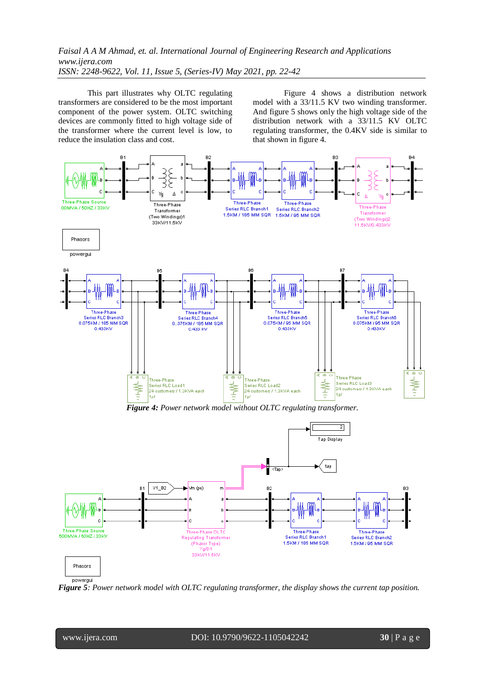This part illustrates why OLTC regulating transformers are considered to be the most important component of the power system. OLTC switching devices are commonly fitted to high voltage side of the transformer where the current level is low, to reduce the insulation class and cost.

Figure 4 shows a distribution network model with a 33/11.5 KV two winding transformer. And figure 5 shows only the high voltage side of the distribution network with a 33/11.5 KV OLTC regulating transformer, the 0.4KV side is similar to that shown in figure 4.



*Figure 5: Power network model with OLTC regulating transformer, the display shows the current tap position.* 

l

www.ijera.com DOI: 10.9790/9622-1105042242 **30** | P a g e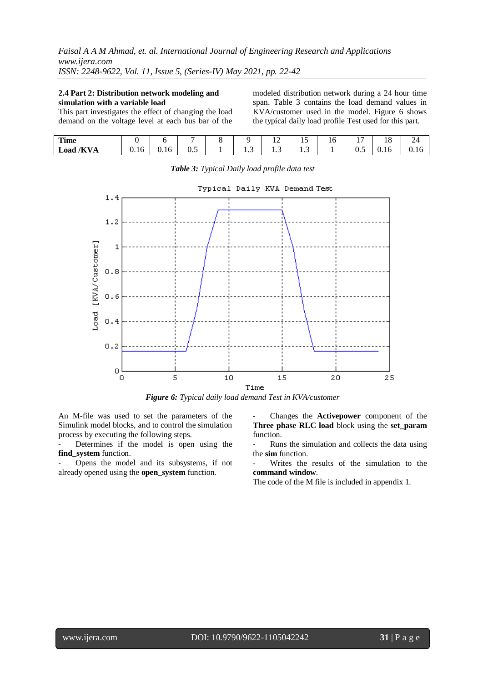# **2.4 Part 2: Distribution network modeling and simulation with a variable load**

This part investigates the effect of changing the load demand on the voltage level at each bus bar of the

modeled distribution network during a 24 hour time span. Table 3 contains the load demand values in KVA/customer used in the model. Figure 6 shows the typical daily load profile Test used for this part.

| Time      |        |                  |          |       | $\sim$<br>┸ | -<br>⊥J  | 16 |     | ה ו<br>10 | 24     |
|-----------|--------|------------------|----------|-------|-------------|----------|----|-----|-----------|--------|
| Load /KVA | v. 1 v | $\sim$<br>U. I O | -<br>U.J | . . J | ن .         | -<br>1.J |    | ∪.J | 0.16      | v. 1 v |



*Table 3: Typical Daily load profile data test*

*Figure 6: Typical daily load demand Test in KVA/customer*

An M-file was used to set the parameters of the Simulink model blocks, and to control the simulation process by executing the following steps.

Determines if the model is open using the **find\_system** function.

- Opens the model and its subsystems, if not already opened using the **open\_system** function.

- Changes the **Activepower** component of the **Three phase RLC load** block using the **set\_param** function.

Runs the simulation and collects the data using the **sim** function.

Writes the results of the simulation to the **command window**.

The code of the M file is included in appendix 1.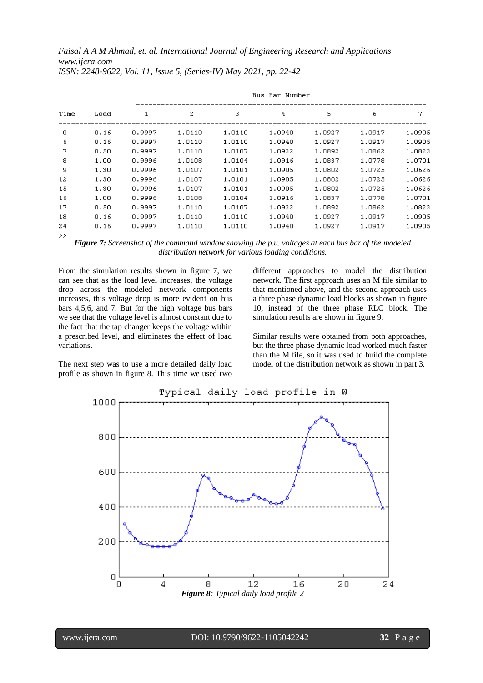*Faisal A A M Ahmad, et. al. International Journal of Engineering Research and Applications www.ijera.com*

| Time<br>Load  | Bus Bar Number |        |        |        |        |        |        |        |
|---------------|----------------|--------|--------|--------|--------|--------|--------|--------|
|               | 1              | 2      | з      | 4      | 5      | 6      | 7      |        |
| 0             | 0.16           | 0.9997 | 1.0110 | 1.0110 | 1,0940 | 1.0927 | 1.0917 | 1,0905 |
| 6             | 0.16           | 0.9997 | 1.0110 | 1.0110 | 1,0940 | 1.0927 | 1.0917 | 1,0905 |
| 7             | 0.50           | 0.9997 | 1.0110 | 1.0107 | 1,0932 | 1,0892 | 1,0862 | 1.0823 |
| 8             | 1.00           | 0.9996 | 1,0108 | 1.0104 | 1.0916 | 1.0837 | 1.0778 | 1.0701 |
| 9             | 1.30           | 0.9996 | 1.0107 | 1.0101 | 1.0905 | 1.0802 | 1.0725 | 1.0626 |
| 12            | 1.30           | 0.9996 | 1,0107 | 1.0101 | 1,0905 | 1,0802 | 1.0725 | 1.0626 |
| 15            | 1.30           | 0.9996 | 1.0107 | 1.0101 | 1,0905 | 1,0802 | 1.0725 | 1,0626 |
| 16            | 1.00           | 0.9996 | 1.0108 | 1.0104 | 1.0916 | 1.0837 | 1.0778 | 1.0701 |
| 17            | 0.50           | 0.9997 | 1.0110 | 1.0107 | 1.0932 | 1,0892 | 1.0862 | 1.0823 |
| 18            | 0.16           | 0.9997 | 1,0110 | 1.0110 | 1,0940 | 1.0927 | 1.0917 | 1,0905 |
| 24            | 0.16           | 0.9997 | 1.0110 | 1.0110 | 1.0940 | 1.0927 | 1.0917 | 1.0905 |
| $\sim$ $\sim$ |                |        |        |        |        |        |        |        |

*ISSN: 2248-9622, Vol. 11, Issue 5, (Series-IV) May 2021, pp. 22-42*

*Figure 7: Screenshot of the command window showing the p.u. voltages at each bus bar of the modeled distribution network for various loading conditions.*

From the simulation results shown in figure 7, we can see that as the load level increases, the voltage drop across the modeled network components increases, this voltage drop is more evident on bus bars 4,5,6, and 7. But for the high voltage bus bars we see that the voltage level is almost constant due to the fact that the tap changer keeps the voltage within a prescribed level, and eliminates the effect of load variations.

The next step was to use a more detailed daily load profile as shown in figure 8. This time we used two different approaches to model the distribution network. The first approach uses an M file similar to that mentioned above, and the second approach uses a three phase dynamic load blocks as shown in figure 10, instead of the three phase RLC block. The simulation results are shown in figure 9.

Similar results were obtained from both approaches, but the three phase dynamic load worked much faster than the M file, so it was used to build the complete model of the distribution network as shown in part 3.

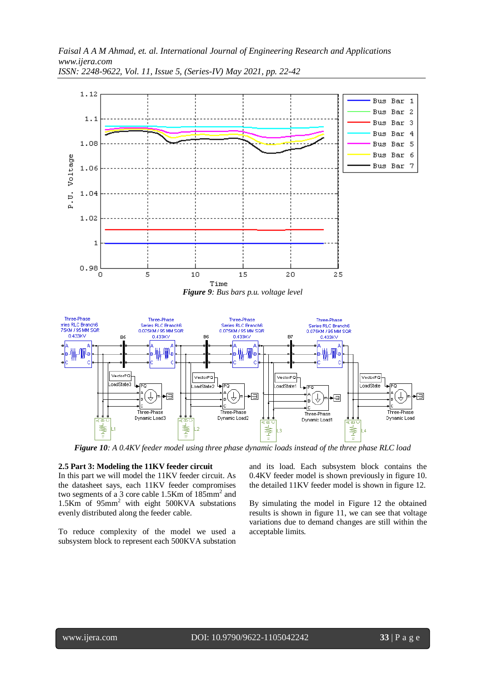

*Figure 10: A 0.4KV feeder model using three phase dynamic loads instead of the three phase RLC load*

### **2.5 Part 3: Modeling the 11KV feeder circuit**

In this part we will model the 11KV feeder circuit. As the datasheet says, each 11KV feeder compromises two segments of a 3 core cable  $1.5$ Km of  $185$ mm<sup>2</sup> and 1.5Km of 95mm<sup>2</sup> with eight 500KVA substations evenly distributed along the feeder cable.

To reduce complexity of the model we used a subsystem block to represent each 500KVA substation and its load. Each subsystem block contains the 0.4KV feeder model is shown previously in figure 10. the detailed 11KV feeder model is shown in figure 12.

By simulating the model in Figure 12 the obtained results is shown in figure 11, we can see that voltage variations due to demand changes are still within the acceptable limits.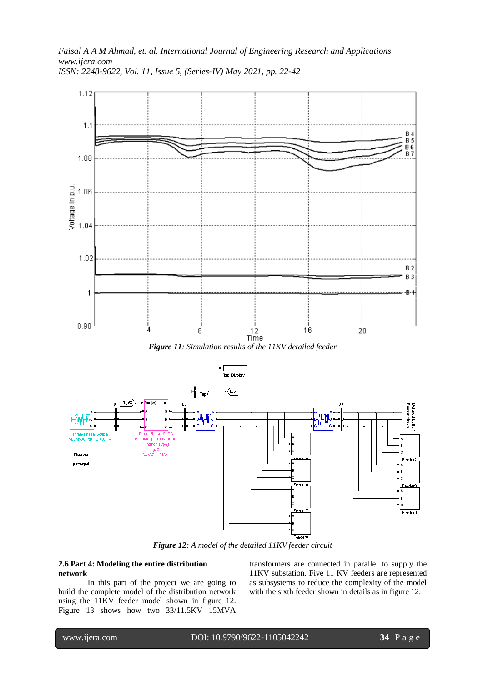



*Figure 12: A model of the detailed 11KV feeder circuit*

## **2.6 Part 4: Modeling the entire distribution network**

In this part of the project we are going to build the complete model of the distribution network using the 11KV feeder model shown in figure 12. Figure 13 shows how two 33/11.5KV 15MVA

transformers are connected in parallel to supply the 11KV substation. Five 11 KV feeders are represented as subsystems to reduce the complexity of the model with the sixth feeder shown in details as in figure 12.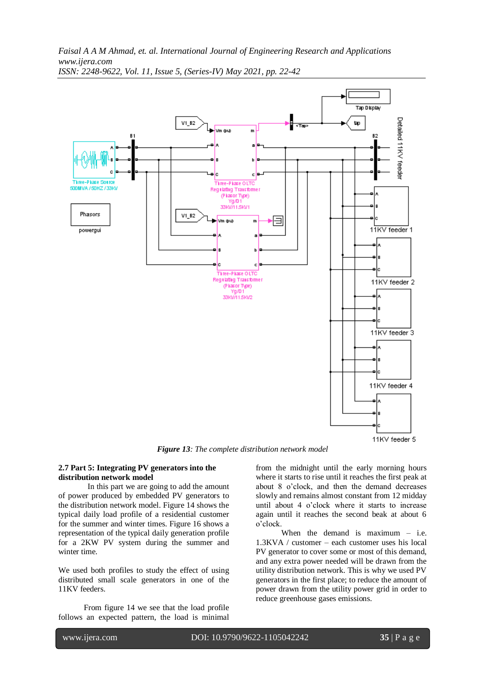

*Figure 13: The complete distribution network model*

## **2.7 Part 5: Integrating PV generators into the distribution network model**

In this part we are going to add the amount of power produced by embedded PV generators to the distribution network model. Figure 14 shows the typical daily load profile of a residential customer for the summer and winter times. Figure 16 shows a representation of the typical daily generation profile for a 2KW PV system during the summer and winter time.

We used both profiles to study the effect of using distributed small scale generators in one of the 11KV feeders.

From figure 14 we see that the load profile follows an expected pattern, the load is minimal from the midnight until the early morning hours where it starts to rise until it reaches the first peak at about 8 o'clock, and then the demand decreases slowly and remains almost constant from 12 midday until about 4 o'clock where it starts to increase again until it reaches the second beak at about 6 o'clock.

When the demand is maximum – i.e. 1.3KVA / customer – each customer uses his local PV generator to cover some or most of this demand, and any extra power needed will be drawn from the utility distribution network. This is why we used PV generators in the first place; to reduce the amount of power drawn from the utility power grid in order to reduce greenhouse gases emissions.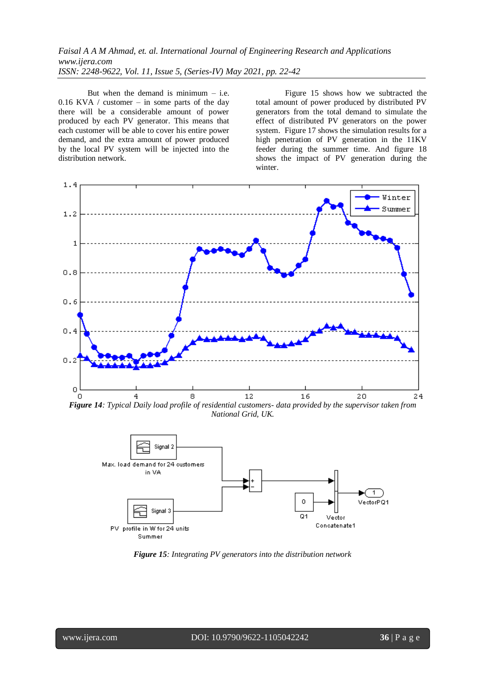But when the demand is minimum  $-$  i.e.  $0.16$  KVA / customer – in some parts of the day there will be a considerable amount of power produced by each PV generator. This means that each customer will be able to cover his entire power demand, and the extra amount of power produced by the local PV system will be injected into the distribution network.

Figure 15 shows how we subtracted the total amount of power produced by distributed PV generators from the total demand to simulate the effect of distributed PV generators on the power system. Figure 17 shows the simulation results for a high penetration of PV generation in the 11KV feeder during the summer time. And figure 18 shows the impact of PV generation during the winter.



*Figure 14: Typical Daily load profile of residential customers- data provided by the supervisor taken from National Grid, UK.*



*Figure 15: Integrating PV generators into the distribution network*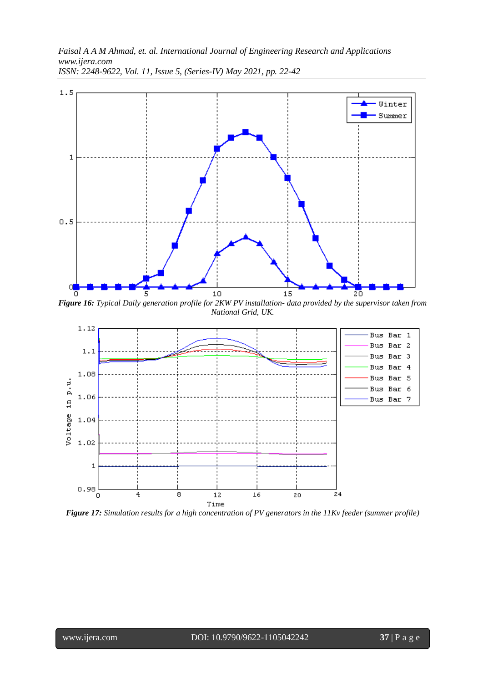

*Figure 16: Typical Daily generation profile for 2KW PV installation- data provided by the supervisor taken from National Grid, UK.*



*Figure 17: Simulation results for a high concentration of PV generators in the 11Kv feeder (summer profile)*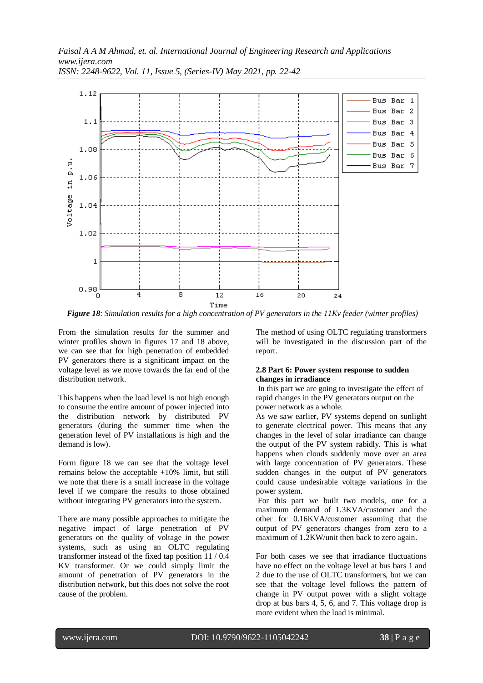

*Figure 18*: *Simulation results for a high concentration of PV generators in the 11Kv feeder (winter profiles)*

From the simulation results for the summer and winter profiles shown in figures 17 and 18 above, we can see that for high penetration of embedded PV generators there is a significant impact on the voltage level as we move towards the far end of the distribution network.

This happens when the load level is not high enough to consume the entire amount of power injected into the distribution network by distributed PV generators (during the summer time when the generation level of PV installations is high and the demand is low).

Form figure 18 we can see that the voltage level remains below the acceptable +10% limit, but still we note that there is a small increase in the voltage level if we compare the results to those obtained without integrating PV generators into the system.

There are many possible approaches to mitigate the negative impact of large penetration of PV generators on the quality of voltage in the power systems, such as using an OLTC regulating transformer instead of the fixed tap position 11 / 0.4 KV transformer. Or we could simply limit the amount of penetration of PV generators in the distribution network, but this does not solve the root cause of the problem.

The method of using OLTC regulating transformers will be investigated in the discussion part of the report.

## **2.8 Part 6: Power system response to sudden changes in irradiance**

In this part we are going to investigate the effect of rapid changes in the PV generators output on the power network as a whole.

As we saw earlier, PV systems depend on sunlight to generate electrical power. This means that any changes in the level of solar irradiance can change the output of the PV system rabidly. This is what happens when clouds suddenly move over an area with large concentration of PV generators. These sudden changes in the output of PV generators could cause undesirable voltage variations in the power system.

For this part we built two models, one for a maximum demand of 1.3KVA/customer and the other for 0.16KVA/customer assuming that the output of PV generators changes from zero to a maximum of 1.2KW/unit then back to zero again.

For both cases we see that irradiance fluctuations have no effect on the voltage level at bus bars 1 and 2 due to the use of OLTC transformers, but we can see that the voltage level follows the pattern of change in PV output power with a slight voltage drop at bus bars 4, 5, 6, and 7. This voltage drop is more evident when the load is minimal.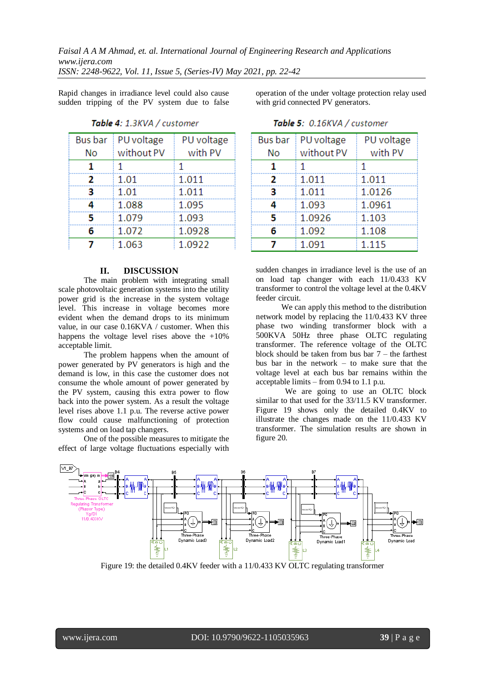*Faisal A A M Ahmad, et. al. International Journal of Engineering Research and Applications www.ijera.com*

*ISSN: 2248-9622, Vol. 11, Issue 5, (Series-IV) May 2021, pp. 22-42*

Rapid changes in irradiance level could also cause sudden tripping of the PV system due to false

| <b>Bus bar</b> | PU voltage   | PU voltage |
|----------------|--------------|------------|
| No             | without PV   | with PV    |
|                | $\mathbf{1}$ | 1          |
| 2              | 1.01         | 1.011      |
| R              | 1.01         | 1.011      |
|                | 1.088        | 1.095      |
| 5              | 1.079        | 1.093      |
| 6              | 1.072        | 1.0928     |
| 7              | 1.063        | 1.0922     |
|                |              |            |

Table 4: 1.3KVA / customer

operation of the under voltage protection relay used with grid connected PV generators.

| <b>Bus bar</b> | PU voltage | PU voltage |  |  |
|----------------|------------|------------|--|--|
| No             | without PV | with PV    |  |  |
| 1              | 1          | 1          |  |  |
| 2              | 1.011      | 1.011      |  |  |
| З              | 1.011      | 1.0126     |  |  |
|                | 1.093      | 1.0961     |  |  |
| ц              | 1.0926     | 1.103      |  |  |
| 6              | 1.092      | 1.108      |  |  |
|                | 1.091      | 1.115      |  |  |

Table 5: 0.16KVA / customer

### **II. DISCUSSION**

The main problem with integrating small scale photovoltaic generation systems into the utility power grid is the increase in the system voltage level. This increase in voltage becomes more evident when the demand drops to its minimum value, in our case 0.16KVA / customer. When this happens the voltage level rises above the  $+10\%$ acceptable limit.

The problem happens when the amount of power generated by PV generators is high and the demand is low, in this case the customer does not consume the whole amount of power generated by the PV system, causing this extra power to flow back into the power system. As a result the voltage level rises above 1.1 p.u. The reverse active power flow could cause malfunctioning of protection systems and on load tap changers.

One of the possible measures to mitigate the effect of large voltage fluctuations especially with

sudden changes in irradiance level is the use of an on load tap changer with each 11/0.433 KV transformer to control the voltage level at the 0.4KV feeder circuit.

We can apply this method to the distribution network model by replacing the 11/0.433 KV three phase two winding transformer block with a 500KVA 50Hz three phase OLTC regulating transformer. The reference voltage of the OLTC block should be taken from bus bar  $7 -$  the farthest bus bar in the network – to make sure that the voltage level at each bus bar remains within the acceptable limits – from 0.94 to 1.1 p.u.

We are going to use an OLTC block similar to that used for the 33/11.5 KV transformer. Figure 19 shows only the detailed 0.4KV to illustrate the changes made on the 11/0.433 KV transformer. The simulation results are shown in figure 20.



Figure 19: the detailed 0.4KV feeder with a 11/0.433 KV OLTC regulating transformer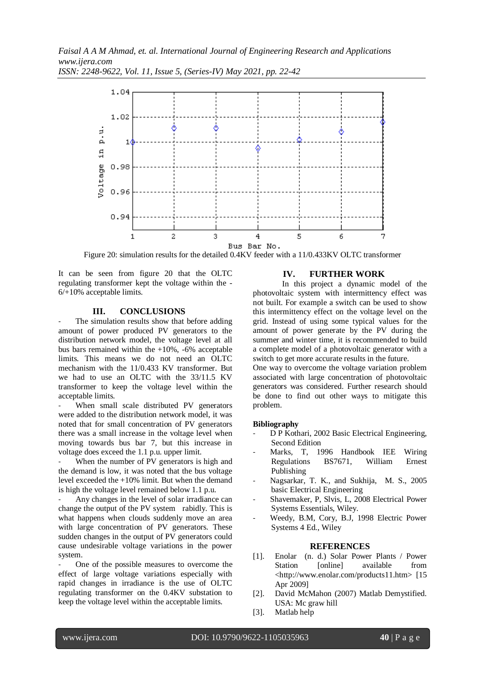

*ISSN: 2248-9622, Vol. 11, Issue 5, (Series-IV) May 2021, pp. 22-42*

Figure 20: simulation results for the detailed 0.4KV feeder with a 11/0.433KV OLTC transformer

It can be seen from figure 20 that the OLTC regulating transformer kept the voltage within the - 6/+10% acceptable limits.

# **III. CONCLUSIONS**

The simulation results show that before adding amount of power produced PV generators to the distribution network model, the voltage level at all bus bars remained within the +10%, -6% acceptable limits. This means we do not need an OLTC mechanism with the 11/0.433 KV transformer. But we had to use an OLTC with the 33/11.5 KV transformer to keep the voltage level within the acceptable limits.

When small scale distributed PV generators were added to the distribution network model, it was noted that for small concentration of PV generators there was a small increase in the voltage level when moving towards bus bar 7, but this increase in voltage does exceed the 1.1 p.u. upper limit.

When the number of PV generators is high and the demand is low, it was noted that the bus voltage level exceeded the +10% limit. But when the demand is high the voltage level remained below 1.1 p.u.

- Any changes in the level of solar irradiance can change the output of the PV system rabidly. This is what happens when clouds suddenly move an area with large concentration of PV generators. These sudden changes in the output of PV generators could cause undesirable voltage variations in the power system.

One of the possible measures to overcome the effect of large voltage variations especially with rapid changes in irradiance is the use of OLTC regulating transformer on the 0.4KV substation to keep the voltage level within the acceptable limits.

# **IV. FURTHER WORK**

In this project a dynamic model of the photovoltaic system with intermittency effect was not built. For example a switch can be used to show this intermittency effect on the voltage level on the grid. Instead of using some typical values for the amount of power generate by the PV during the summer and winter time, it is recommended to build a complete model of a photovoltaic generator with a switch to get more accurate results in the future.

One way to overcome the voltage variation problem associated with large concentration of photovoltaic generators was considered. Further research should be done to find out other ways to mitigate this problem.

# **Bibliography**

- D P Kothari, 2002 Basic Electrical Engineering, Second Edition
- Marks, T, 1996 Handbook IEE Wiring Regulations BS7671, William Ernest Publishing
- Nagsarkar, T. K., and Sukhija, M. S., 2005 basic Electrical Engineering
- Shavemaker, P, Slvis, L, 2008 Electrical Power Systems Essentials, Wiley.
- Weedy, B.M, Cory, B.J, 1998 Electric Power Systems 4 Ed., Wiley

# **REFERENCES**

- [1]. Enolar (n. d.) Solar Power Plants / Power Station [online] available from <http://www.enolar.com/products11.htm> [15 Apr 2009]
- [2]. David McMahon (2007) Matlab Demystified. USA: Mc graw hill
- [3]. Matlab help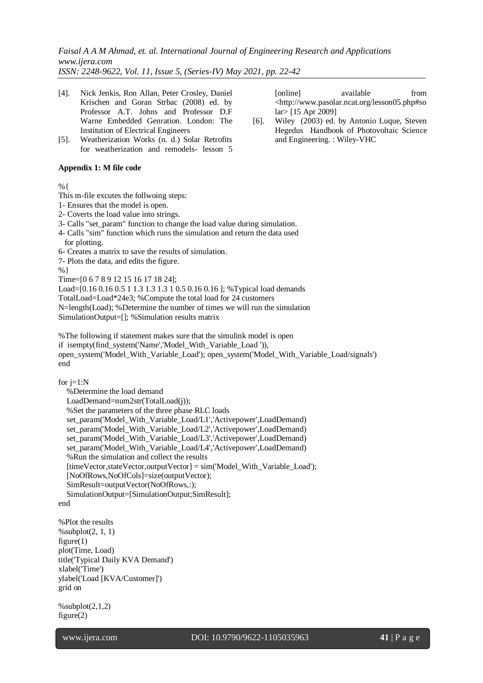*Faisal A A M Ahmad, et. al. International Journal of Engineering Research and Applications www.ijera.com*

*ISSN: 2248-9622, Vol. 11, Issue 5, (Series-IV) May 2021, pp. 22-42*

- [4]. Nick Jenkis, Ron Allan, Peter Crosley, Daniel Krischen and Goran Strbac (2008) ed. by Professor A.T. Johns and Professor D.F Warne Embedded Genration. London: The Institution of Electrical Engineers
- [5]. Weatherization Works (n. d.) Solar Retrofits for weatherization and remodels- lesson 5

# **Appendix 1: M file code**

%{

- This m-file excutes the follwoing steps:
- 1- Ensures that the model is open.
- 2- Coverts the load value into strings.
- 3- Calls "set\_param" function to change the load value during simulation.
- 4- Calls "sim" function which runs the simulation and return the data used for plotting.
- 6- Creates a matrix to save the results of simulation.
- 7- Plots the data, and edits the figure.

%}

Time=[0 6 7 8 9 12 15 16 17 18 24]; Load=[0.16 0.16 0.5 1 1.3 1.3 1.3 1 0.5 0.16 0.16 ]; %Typical load demands TotalLoad=Load\*24e3; %Compute the total load for 24 customers N=length(Load); %Determine the number of times we will run the simulation SimulationOutput=[]; %Simulation results matrix

%The following if statement makes sure that the simulink model is open if isempty(find\_system('Name','Model\_With\_Variable\_Load ')), open\_system('Model\_With\_Variable\_Load'); open\_system('Model\_With\_Variable\_Load/signals') end

for  $j=1:N$ 

 %Determine the load demand LoadDemand=num2str(TotalLoad(j)); %Set the parameters of the three phase RLC loads set\_param('Model\_With\_Variable\_Load/L1','Activepower',LoadDemand) set\_param('Model\_With\_Variable\_Load/L2','Activepower',LoadDemand) set\_param('Model\_With\_Variable\_Load/L3','Activepower',LoadDemand) set\_param('Model\_With\_Variable\_Load/L4','Activepower',LoadDemand) %Run the simulation and collect the results  $[timeVector, stateVector, outputVector] = sim('ModelWith Variable Load')$ ; [NoOfRows,NoOfCols]=size(outputVector); SimResult=outputVector(NoOfRows,:); SimulationOutput=[SimulationOutput;SimResult];

end

%Plot the results  $%$ subplot $(2, 1, 1)$ figure(1) plot(Time, Load) title('Typical Daily KVA Demand') xlabel('Time') ylabel('Load [KVA/Customer]') grid on

 $%$ subplot $(2,1,2)$ figure(2)

l

[online] available from <http://www.pasolar.ncat.org/lesson05.php#so lar> [15 Apr 2009]

[6]. Wiley (2003) ed. by Antonio Luque, Steven Hegedus Handbook of Photovoltaic Science and Engineering. : Wiley-VHC